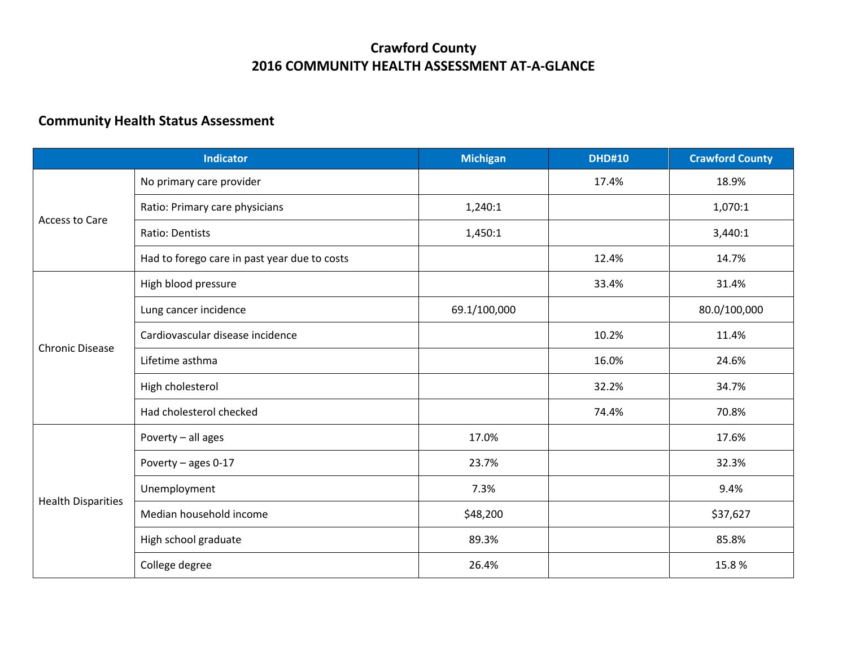## **Crawford County 2016 COMMUNITY HEALTH ASSESSMENT AT-A-GLANCE**

## **Community Health Status Assessment**

| <b>Indicator</b>          |                                              | <b>Michigan</b> | <b>DHD#10</b> | <b>Crawford County</b> |
|---------------------------|----------------------------------------------|-----------------|---------------|------------------------|
| Access to Care            | No primary care provider                     |                 | 17.4%         | 18.9%                  |
|                           | Ratio: Primary care physicians               | 1,240:1         |               | 1,070:1                |
|                           | Ratio: Dentists                              | 1,450:1         |               | 3,440:1                |
|                           | Had to forego care in past year due to costs |                 | 12.4%         | 14.7%                  |
| <b>Chronic Disease</b>    | High blood pressure                          |                 | 33.4%         | 31.4%                  |
|                           | Lung cancer incidence                        | 69.1/100,000    |               | 80.0/100,000           |
|                           | Cardiovascular disease incidence             |                 | 10.2%         | 11.4%                  |
|                           | Lifetime asthma                              |                 | 16.0%         | 24.6%                  |
|                           | High cholesterol                             |                 | 32.2%         | 34.7%                  |
|                           | Had cholesterol checked                      |                 | 74.4%         | 70.8%                  |
|                           | Poverty - all ages                           | 17.0%           |               | 17.6%                  |
| <b>Health Disparities</b> | Poverty - ages 0-17                          | 23.7%           |               | 32.3%                  |
|                           | Unemployment                                 | 7.3%            |               | 9.4%                   |
|                           | Median household income                      | \$48,200        |               | \$37,627               |
|                           | High school graduate                         | 89.3%           |               | 85.8%                  |
|                           | College degree                               | 26.4%           |               | 15.8%                  |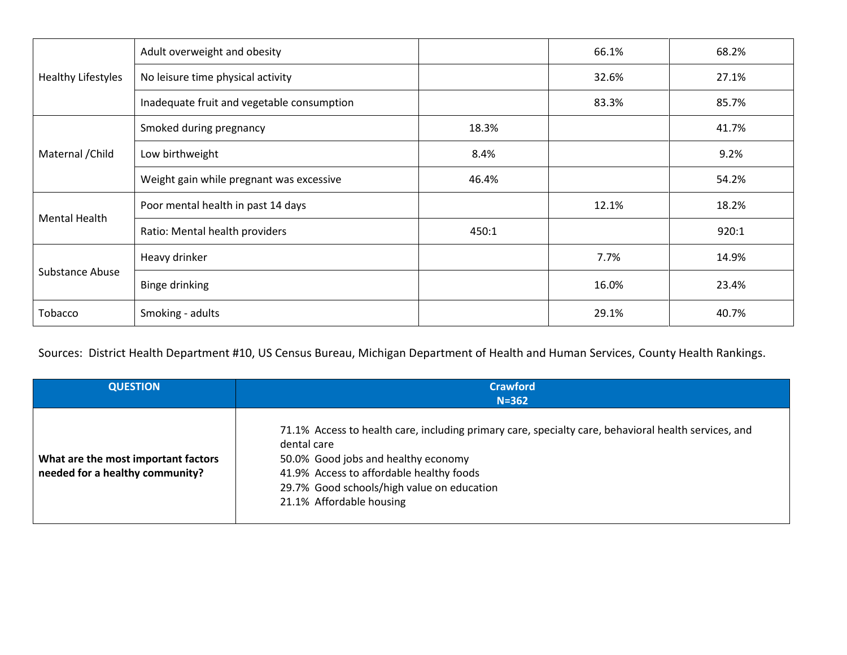| <b>Healthy Lifestyles</b> | Adult overweight and obesity               |       | 66.1% | 68.2% |
|---------------------------|--------------------------------------------|-------|-------|-------|
|                           | No leisure time physical activity          |       | 32.6% | 27.1% |
|                           | Inadequate fruit and vegetable consumption |       | 83.3% | 85.7% |
| Maternal / Child          | Smoked during pregnancy                    | 18.3% |       | 41.7% |
|                           | Low birthweight                            | 8.4%  |       | 9.2%  |
|                           | Weight gain while pregnant was excessive   | 46.4% |       | 54.2% |
| <b>Mental Health</b>      | Poor mental health in past 14 days         |       | 12.1% | 18.2% |
|                           | Ratio: Mental health providers             | 450:1 |       | 920:1 |
| Substance Abuse           | Heavy drinker                              |       | 7.7%  | 14.9% |
|                           | Binge drinking                             |       | 16.0% | 23.4% |
| Tobacco                   | Smoking - adults                           |       | 29.1% | 40.7% |

Sources: District Health Department #10, US Census Bureau, Michigan Department of Health and Human Services, County Health Rankings.

| <b>QUESTION</b>                                                        | <b>Crawford</b><br>$N = 362$                                                                                                                                                                                                                                                     |
|------------------------------------------------------------------------|----------------------------------------------------------------------------------------------------------------------------------------------------------------------------------------------------------------------------------------------------------------------------------|
| What are the most important factors<br>needed for a healthy community? | 71.1% Access to health care, including primary care, specialty care, behavioral health services, and<br>dental care<br>50.0% Good jobs and healthy economy<br>41.9% Access to affordable healthy foods<br>29.7% Good schools/high value on education<br>21.1% Affordable housing |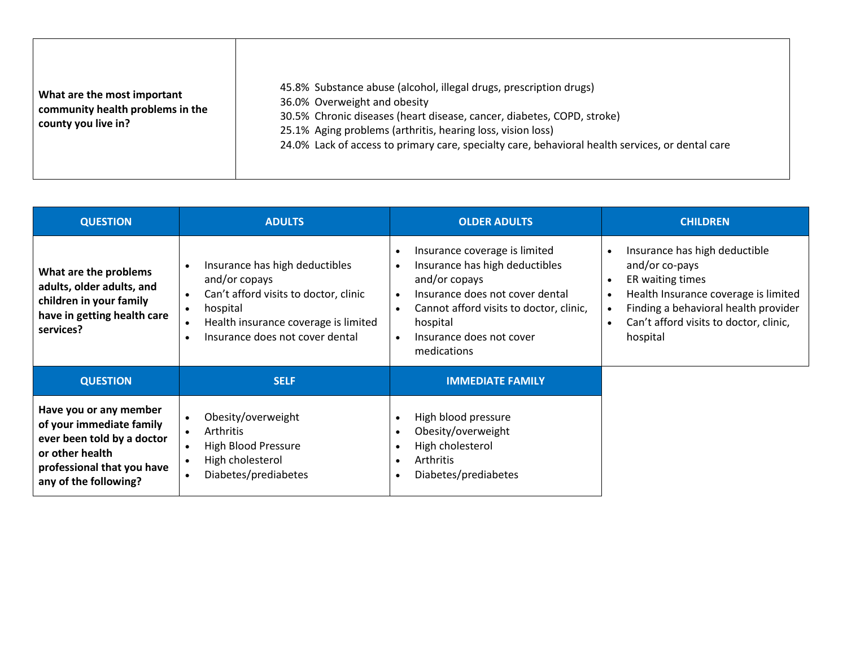| 45.8% Substance abuse (alcohol, illegal drugs, prescription drugs)<br>What are the most important<br>36.0% Overweight and obesity<br>community health problems in the<br>30.5% Chronic diseases (heart disease, cancer, diabetes, COPD, stroke)<br>county you live in?<br>25.1% Aging problems (arthritis, hearing loss, vision loss)<br>24.0% Lack of access to primary care, specialty care, behavioral health services, or dental care |  |
|-------------------------------------------------------------------------------------------------------------------------------------------------------------------------------------------------------------------------------------------------------------------------------------------------------------------------------------------------------------------------------------------------------------------------------------------|--|
|-------------------------------------------------------------------------------------------------------------------------------------------------------------------------------------------------------------------------------------------------------------------------------------------------------------------------------------------------------------------------------------------------------------------------------------------|--|

| <b>QUESTION</b>                                                                                                                                            | <b>ADULTS</b>                                                                                                                                                                   | <b>OLDER ADULTS</b>                                                                                                                                                                                                                                                       | <b>CHILDREN</b>                                                                                                                                                                                                                                                            |
|------------------------------------------------------------------------------------------------------------------------------------------------------------|---------------------------------------------------------------------------------------------------------------------------------------------------------------------------------|---------------------------------------------------------------------------------------------------------------------------------------------------------------------------------------------------------------------------------------------------------------------------|----------------------------------------------------------------------------------------------------------------------------------------------------------------------------------------------------------------------------------------------------------------------------|
| What are the problems<br>adults, older adults, and<br>children in your family<br>have in getting health care<br>services?                                  | Insurance has high deductibles<br>and/or copays<br>Can't afford visits to doctor, clinic<br>hospital<br>Health insurance coverage is limited<br>Insurance does not cover dental | Insurance coverage is limited<br>$\bullet$<br>Insurance has high deductibles<br>and/or copays<br>Insurance does not cover dental<br>$\bullet$<br>Cannot afford visits to doctor, clinic,<br>$\bullet$<br>hospital<br>Insurance does not cover<br>$\bullet$<br>medications | Insurance has high deductible<br>$\bullet$<br>and/or co-pays<br>ER waiting times<br>$\bullet$<br>Health Insurance coverage is limited<br>$\bullet$<br>Finding a behavioral health provider<br>$\bullet$<br>Can't afford visits to doctor, clinic,<br>$\bullet$<br>hospital |
| <b>QUESTION</b>                                                                                                                                            | <b>SELF</b>                                                                                                                                                                     | <b>IMMEDIATE FAMILY</b>                                                                                                                                                                                                                                                   |                                                                                                                                                                                                                                                                            |
| Have you or any member<br>of your immediate family<br>ever been told by a doctor<br>or other health<br>professional that you have<br>any of the following? | Obesity/overweight<br><b>Arthritis</b><br>$\bullet$<br>High Blood Pressure<br>High cholesterol<br>Diabetes/prediabetes                                                          | High blood pressure<br>Obesity/overweight<br>High cholesterol<br>Arthritis<br>$\bullet$<br>Diabetes/prediabetes<br>$\bullet$                                                                                                                                              |                                                                                                                                                                                                                                                                            |